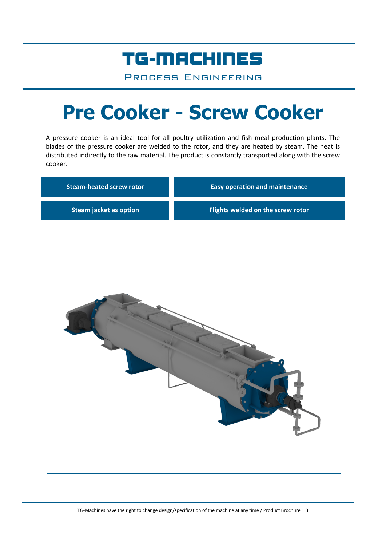## TG-MACHINES

Process Engineering

# **Pre Cooker - Screw Cooker**

A pressure cooker is an ideal tool for all poultry utilization and fish meal production plants. The blades of the pressure cooker are welded to the rotor, and they are heated by steam. The heat is distributed indirectly to the raw material. The product is constantly transported along with the screw cooker.

| <b>Steam-heated screw rotor</b> | <b>Easy operation and maintenance</b> |
|---------------------------------|---------------------------------------|
| <b>Steam jacket as option</b>   | Flights welded on the screw rotor     |